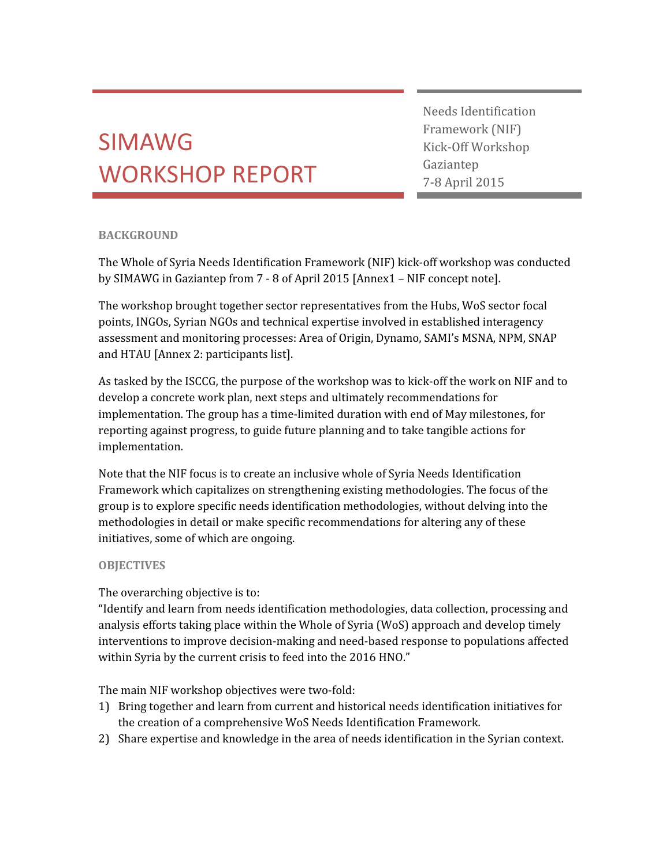# SIMAWG WORKSHOP REPORT

Needs Identification Framework (NIF) Kick-Off Workshop Gaziantep 7-8 April 2015

# BACKGROUND

The Whole of Syria Needs Identification Framework (NIF) kick-off workshop was conducted by SIMAWG in Gaziantep from 7 - 8 of April 2015 [Annex1 – NIF concept note].

The workshop brought together sector representatives from the Hubs, WoS sector focal points, INGOs, Syrian NGOs and technical expertise involved in established interagency assessment and monitoring processes: Area of Origin, Dynamo, SAMI's MSNA, NPM, SNAP and HTAU [Annex 2: participants list].

As tasked by the ISCCG, the purpose of the workshop was to kick-off the work on NIF and to develop a concrete work plan, next steps and ultimately recommendations for implementation. The group has a time-limited duration with end of May milestones, for reporting against progress, to guide future planning and to take tangible actions for implementation.

Note that the NIF focus is to create an inclusive whole of Syria Needs Identification Framework which capitalizes on strengthening existing methodologies. The focus of the group is to explore specific needs identification methodologies, without delving into the methodologies in detail or make specific recommendations for altering any of these initiatives, some of which are ongoing.

## **OBJECTIVES**

The overarching objective is to:

"Identify and learn from needs identification methodologies, data collection, processing and analysis efforts taking place within the Whole of Syria (WoS) approach and develop timely interventions to improve decision-making and need-based response to populations affected within Syria by the current crisis to feed into the 2016 HNO."

The main NIF workshop objectives were two-fold:

- 1) Bring together and learn from current and historical needs identification initiatives for the creation of a comprehensive WoS Needs Identification Framework.
- 2) Share expertise and knowledge in the area of needs identification in the Syrian context.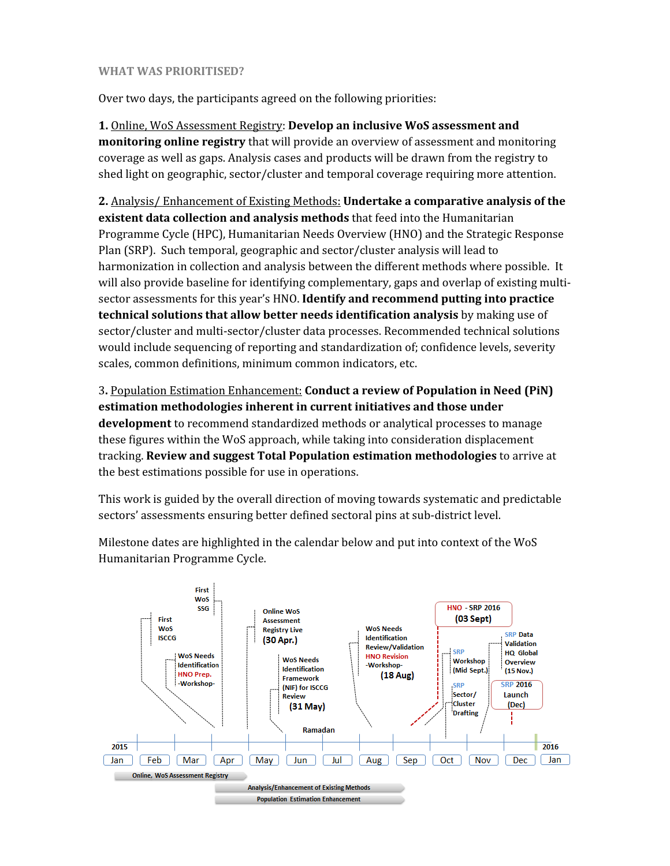#### WHAT WAS PRIORITISED?

Over two days, the participants agreed on the following priorities:

1. Online, WoS Assessment Registry: Develop an inclusive WoS assessment and monitoring online registry that will provide an overview of assessment and monitoring coverage as well as gaps. Analysis cases and products will be drawn from the registry to shed light on geographic, sector/cluster and temporal coverage requiring more attention.

2. Analysis/ Enhancement of Existing Methods: Undertake a comparative analysis of the existent data collection and analysis methods that feed into the Humanitarian Programme Cycle (HPC), Humanitarian Needs Overview (HNO) and the Strategic Response Plan (SRP). Such temporal, geographic and sector/cluster analysis will lead to harmonization in collection and analysis between the different methods where possible. It will also provide baseline for identifying complementary, gaps and overlap of existing multisector assessments for this year's HNO. Identify and recommend putting into practice technical solutions that allow better needs identification analysis by making use of sector/cluster and multi-sector/cluster data processes. Recommended technical solutions would include sequencing of reporting and standardization of; confidence levels, severity scales, common definitions, minimum common indicators, etc.

3. Population Estimation Enhancement: Conduct a review of Population in Need (PiN) estimation methodologies inherent in current initiatives and those under development to recommend standardized methods or analytical processes to manage these figures within the WoS approach, while taking into consideration displacement tracking. Review and suggest Total Population estimation methodologies to arrive at the best estimations possible for use in operations.

This work is guided by the overall direction of moving towards systematic and predictable sectors' assessments ensuring better defined sectoral pins at sub-district level.



Milestone dates are highlighted in the calendar below and put into context of the WoS Humanitarian Programme Cycle.